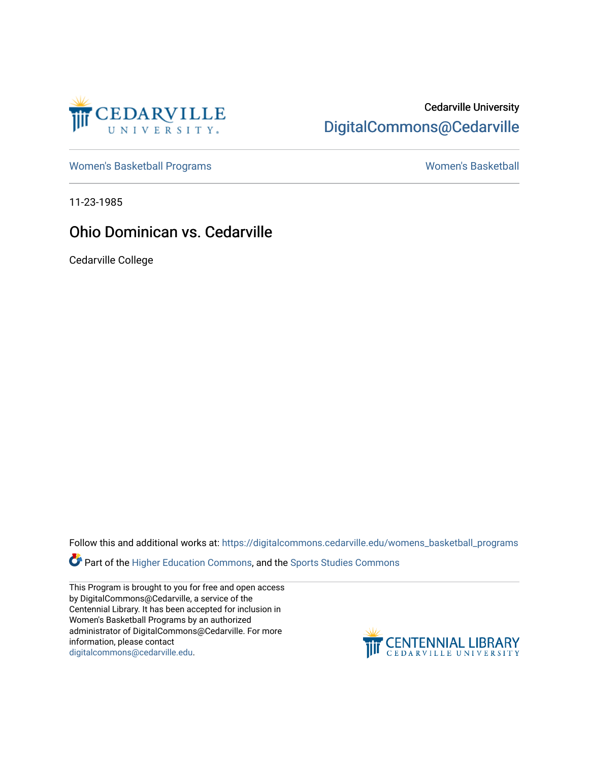

# Cedarville University [DigitalCommons@Cedarville](https://digitalcommons.cedarville.edu/)

[Women's Basketball Programs](https://digitalcommons.cedarville.edu/womens_basketball_programs) North Controller and Momen's Basketball

11-23-1985

## Ohio Dominican vs. Cedarville

Cedarville College

Follow this and additional works at: [https://digitalcommons.cedarville.edu/womens\\_basketball\\_programs](https://digitalcommons.cedarville.edu/womens_basketball_programs?utm_source=digitalcommons.cedarville.edu%2Fwomens_basketball_programs%2F173&utm_medium=PDF&utm_campaign=PDFCoverPages)

**Part of the [Higher Education Commons,](http://network.bepress.com/hgg/discipline/1245?utm_source=digitalcommons.cedarville.edu%2Fwomens_basketball_programs%2F173&utm_medium=PDF&utm_campaign=PDFCoverPages) and the Sports Studies Commons** 

This Program is brought to you for free and open access by DigitalCommons@Cedarville, a service of the Centennial Library. It has been accepted for inclusion in Women's Basketball Programs by an authorized administrator of DigitalCommons@Cedarville. For more information, please contact [digitalcommons@cedarville.edu](mailto:digitalcommons@cedarville.edu).

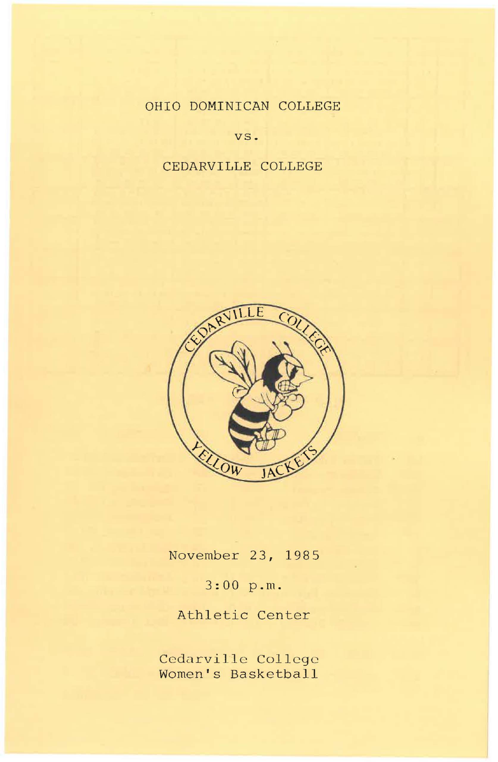### OHIO DOMINICAN COLLEGE

vs.

#### CEDARVILLE COLLEGE



November 23, 1985

3:00 p.m.

Athletic Center

Cedarville College Women's Basketball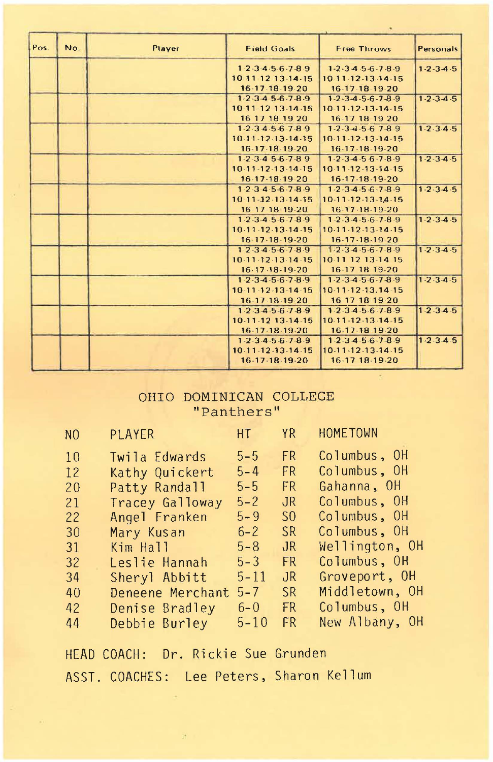| Pos. | No. | Player | <b>Field Goals</b>                                              | Free Throws                         | Personals           |
|------|-----|--------|-----------------------------------------------------------------|-------------------------------------|---------------------|
|      |     |        | 1.2.3.4.5.6.7.8.9                                               | $1-2.3456789$                       | $1.2 - 3.4 - 5$     |
|      |     |        | 10-11 12 13 14 15                                               | 10-11-12-13-14-15                   |                     |
|      |     |        | $16.17 - 18.19 - 20$                                            | 16.17.18.19.20                      |                     |
|      |     |        | $1-2.3.456.789$                                                 | $1 - 2 - 3 - 4 - 5 - 6 - 7 - 8 - 9$ | $1.2.3 - 4.5$       |
|      |     |        | 10-11-12-13-14-15                                               | $10-11-12-13-14-15$                 |                     |
|      |     |        | 16 17 18 19 20                                                  | 16.17 18 19 20                      |                     |
|      |     |        | $1-2.34.56.789$                                                 | $1-2-3-4-5-6$ 7-8.9                 | $1 - 2 - 3 - 4 - 5$ |
|      |     |        | 10-11-12-13-14-15                                               | 10.11.12.13.14.15                   |                     |
|      |     |        | 16-17-18-19-20                                                  | 16-17-18-19-20                      |                     |
|      |     |        | $1 - 2 - 3 - 4$ 5 - 6 - 7 - 8 9                                 | $1-2-3-4-5-6-7-8-9$                 | $1 - 2 - 3 - 4 - 5$ |
|      |     |        | $10.11 - 12 - 13 - 14 - 15$                                     | 10.11.12.13.14.15                   |                     |
|      |     |        | $16-17-18-1920$                                                 | 16-17-18-19-20                      |                     |
|      |     |        | 1.2.3.4.5.6.7.8.9                                               | $1-2-3-4-5-6-7-8-9$                 | $1 - 2 - 3 - 4 - 5$ |
|      |     |        | $10 - 11 - 12 - 13 - 14 - 15$                                   | 10.11.12.13.14.15                   |                     |
|      |     |        | 16-17-18-19-20                                                  | 16-17-18-19-20                      |                     |
|      |     |        | 1.2.3.4.5.6.7.8.9                                               | $1-2-3-4-5-6-7-8-9$                 | $1 - 2 - 3 - 4 - 5$ |
|      |     |        | 10.11.12.13.14.15                                               | 10.11.12.13.14.15                   |                     |
|      |     |        | 16 17 18 19 20                                                  | 16-17-18-19 20                      |                     |
|      |     |        | 1.2.3456789                                                     | 1.2.34.56.78.9                      | $1.2.3 - 4.5$       |
|      |     |        | 10-11-12-13-14-15                                               | 10 11 12 13 14 15                   |                     |
|      |     |        | 16-17-18-19-20                                                  | 16-17 18 19-20                      |                     |
|      |     |        | $1.2.3 - 4.5.6.7.8.9$                                           | 1.2.3456.789                        | 1.2.3.4.5           |
|      |     |        | 10.11.12.13.14.15                                               | 10.11.12.13.14.15                   |                     |
|      |     |        | 16-17-18-19-20                                                  | 16.17.18.19.20                      |                     |
|      |     |        | 1.2.3.4.5.6.7.8.9                                               | 1.2.34.5.6.7.8.9                    | $1 - 2 - 3 - 4 - 5$ |
|      |     |        | 10 11 12 13 14 15                                               | $10.11 - 12 - 13 - 14 - 15$         |                     |
|      |     |        | 16-17-18-19-20                                                  | 16-17-18-19-20                      |                     |
|      |     |        | $1 - 2 \cdot 3 \cdot 4 \cdot 5 \cdot 6 \cdot 7 \cdot 8 \cdot 9$ | $1-2-3-4-5-6-7-8-9$                 | $1 - 2 - 3 - 4 - 5$ |
|      |     |        | 10.11.12.13.14.15                                               | 10-11-12-13-14-15                   |                     |
|      |     |        | 16-17-18-19-20                                                  | 16-17 18-19-20                      |                     |

#### OHIO DOMINICAN COLLEGE "Panthers"

| N <sub>0</sub> | <b>HT</b> YR<br><b>PLAYER</b> |          |                | HOMETOWN       |
|----------------|-------------------------------|----------|----------------|----------------|
| 10             | Twila Edwards                 | $5 - 5$  | FR             | Columbus, OH   |
| 12             | Kathy Quickert                | $5 - 4$  | FR.            | Columbus, OH   |
| 20             | Patty Randall                 | $5 - 5$  | FR             | Gahanna, OH    |
| 21             | Tracey Galloway               | $5 - 2$  | JR.            | Columbus, OH   |
| 22             | Angel Franken                 | $5 - 9$  | S <sub>0</sub> | Columbus, OH   |
| 30             | Mary Kusan                    | $6 - 2$  | <b>SR</b>      | Columbus, OH   |
| 31             | Kim Hall                      | $5 - 8$  | JR.            | Wellington, OH |
| 32             | Leslie Hannah                 | $5 - 3$  | <b>FR</b>      | Columbus, OH   |
| 34             | Sheryl Abbitt                 | $5 - 11$ | JR             | Groveport, OH  |
| 40             | Deneene Merchant              | $5 - 7$  | <b>SR</b>      | Middletown, OH |
| 42             | Denise Bradley                | $6 - 0$  | FR.            | Columbus, OH   |
| 44             | Debbie Burley                 | $5 - 10$ | FR.            | New Albany, OH |
|                |                               |          |                |                |

HEAD COACH: Dr. Rickie Sue Grunden ASST. COACHES: Lee Peters, Sharon Kellum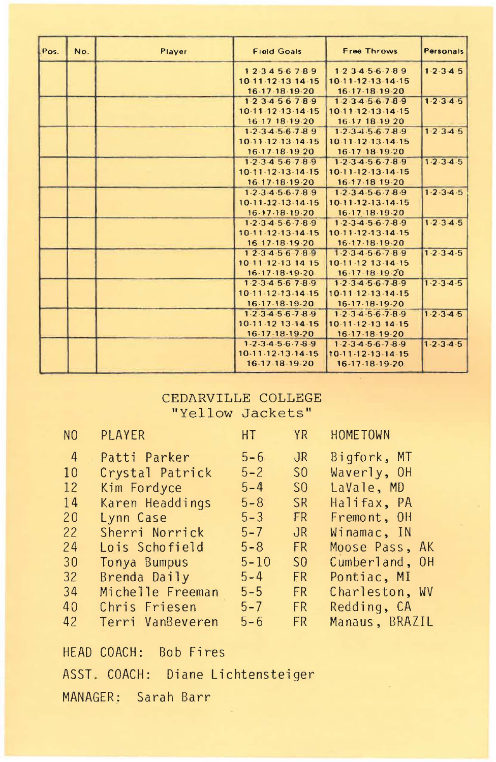| Pos. | No. | Player | <b>Field Goals</b>                  | Free Throws                         | Personals           |
|------|-----|--------|-------------------------------------|-------------------------------------|---------------------|
|      |     |        | 123456789                           | 1.23456.789                         | $1.2 - 3.4 - 5$     |
|      |     |        | 10.11.12.13.14.15                   | 10-11-12-13-14-15                   |                     |
|      |     |        | 16-17-18-19-20                      | 16-17-18-19-20                      |                     |
|      |     |        | $1.2$ $3.4$ $5.6$ $7.8.9$           | 1.2.34.5.6.78.9                     | $1 - 2 - 3 - 4 - 5$ |
|      |     |        | 10.11.12.13.14.15                   | 10.11.12.13.14.15                   |                     |
|      |     |        | 16 17 18 19 20                      | 16-17 18-19 20                      |                     |
|      |     |        | $1-2-3-4-5-6-7-89$                  | $1-2-3-4-5-6-7-8-9$                 | 1.2.3.4.5           |
|      |     |        | 10 11 12 13 14 15                   | 10-11-12-13-14-15                   |                     |
|      |     |        | 16-17-18-19-20                      | 16-17-18-19-20                      |                     |
|      |     |        | $1-2-3-4$ 5-6-7-8-9                 | $1 - 2 - 3 - 4 - 5 - 6 - 7 - 8 - 9$ | $1.2 - 3.4.5$       |
|      |     |        | 10.11.12.13.14.15                   | $10-11-12-13-14-15$                 |                     |
|      |     |        | 16-17-18-19-20                      | 16-17-18 19-20                      |                     |
|      |     |        | 1.2.3.4.5.6.7.8.9                   | 1.2.34.56.78.9                      | $1 - 2 - 3 - 4 - 5$ |
|      |     |        | $10.11 - 12 - 13 - 14 - 15$         | 10.11.12.13.14.15                   |                     |
|      |     |        | 16.17.18.19.20                      | 16-17-18-19-20                      |                     |
|      |     |        | $1-2.34.5.6.7.8.9$                  | $1-2-3-4-5-6-7-8-9$                 | 1.2.3.4.5           |
|      |     |        | 10.11.12.13.14.15                   | 10.11.12.13.14.15                   |                     |
|      |     |        | 16 17 18 19 20                      | 16.17.18.19.20                      |                     |
|      |     |        | 12.34.56.7.8.9                      | $1.2.3 - 4.5.6 - 7.8.9$             | $1 - 2 - 3 - 4 - 5$ |
|      |     |        | 10-11-12-13-14-15                   | 10-11-12 13-14-15                   |                     |
|      |     |        | $16 - 17 - 18 - 19 - 20$            | 16 17 18 19 20                      |                     |
|      |     |        | $1.2 - 3.4.5 - 6.7 - 8.9$           | $1-2.3456.789$                      | $1 - 2 - 3 - 4 - 5$ |
|      |     |        | $10 - 11 - 12 - 13 - 14 - 15$       | $10-11-12-13-14-15$                 |                     |
|      |     |        | 16-17-18-19-20                      | $16-17-18-19-20$                    |                     |
|      |     |        | 1.2.3.4.5.6.7.8.9                   | 1.2.34.56.78.9                      | $1 - 2 - 3 - 4 - 5$ |
|      |     |        | 10-11-12 13-14-15                   | 10-11-12-13-14-15                   |                     |
|      |     |        | 16-17-18-19-20                      | 16-17-18-19-20                      |                     |
|      |     |        | $1 - 2 - 3 - 4 - 5 - 6 - 7 - 8 - 9$ | $1-2-3-4-5-6-7-8-9$                 | $1 - 2 - 3 - 4 - 5$ |
|      |     |        | $10-11-12-13-14-15$                 | 10-11-12-13-14-15                   |                     |
|      |     |        | 16-17-18-19-20                      | 16-17-18-19-20                      |                     |
|      |     |        |                                     |                                     |                     |

#### CEDARVILLE COLLEGE "Yellow Jackets"

| N <sub>0</sub> | PLAYER           | HT       | <b>YR</b>      | HOME TOWN      |
|----------------|------------------|----------|----------------|----------------|
| $\overline{4}$ | Patti Parker     | $5 - 6$  | $J_{R}$        | Bigfork, MT    |
| 10             | Crystal Patrick  | $5 - 2$  | S <sub>0</sub> | Waverly, OH    |
| 12             | Kim Fordyce      | $5 - 4$  | S <sub>0</sub> | LaVale, MD     |
| 14             | Karen Headdings  | $5 - 8$  | <b>SR</b>      | Halifax, PA    |
| 20             | Lynn Case        | $5 - 3$  | FR             | Fremont, OH    |
| 22             | Sherri Norrick   | $5 - 7$  | $J_{\rm R}$    | Winamac, IN    |
| 24             | Lois Schofield   | $5 - 8$  | <b>FR</b>      | Moose Pass, AK |
| 30             | Tonya Bumpus     | $5 - 10$ | S <sub>0</sub> | Cumberland, OH |
| 32             | Brenda Daily     | $5 - 4$  | <b>FR</b>      | Pontiac, MI    |
| 34             | Michelle Freeman | $5 - 5$  | FR.            | Charleston, WV |
| 40             | Chris Friesen    | $5 - 7$  | FR.            | Redding, CA    |
| 42             | Terri VanBeveren | $5 - 6$  | <b>FR</b>      | Manaus, BRAZIL |

HEAD COACH: Bob Fires ASST . COACH: Diane Lichtensteiger MANAGER: Sarah Barr